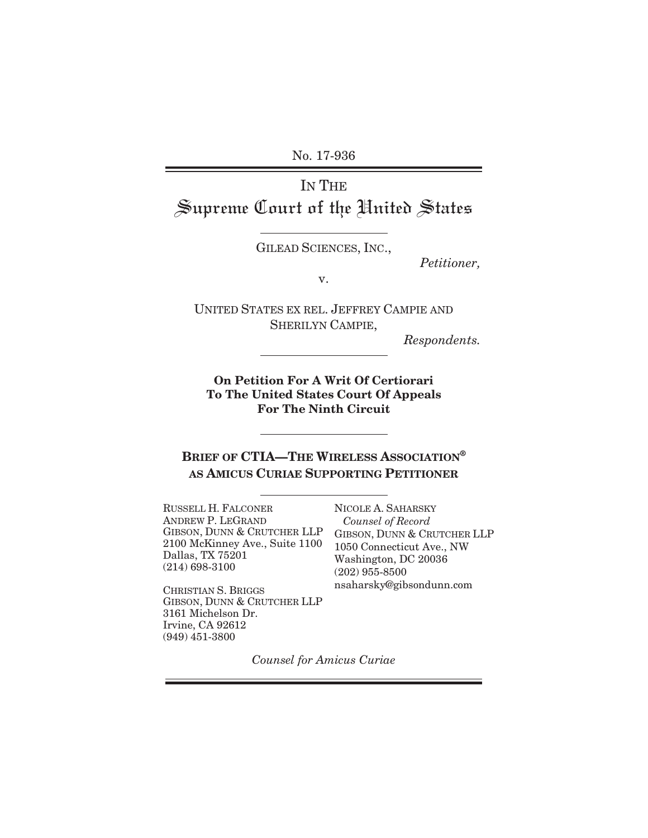No. 17-936

# IN THE Supreme Court of the United States

GILEAD SCIENCES, INC.,

*Petitioner,* 

v.

UNITED STATES EX REL. JEFFREY CAMPIE AND SHERILYN CAMPIE,

*Respondents.* 

**On Petition For A Writ Of Certiorari To The United States Court Of Appeals For The Ninth Circuit** 

**BRIEF OF CTIA—THE WIRELESS ASSOCIATION® AS AMICUS CURIAE SUPPORTING PETITIONER**

RUSSELL H. FALCONER NICOLE A. SAHARSKY ANDREW P. LEGRAND GIBSON, DUNN & CRUTCHER LLP 2100 McKinney Ave., Suite 1100 Dallas, TX 75201 (214) 698-3100

 *Counsel of Record* GIBSON, DUNN & CRUTCHER LLP 1050 Connecticut Ave., NW Washington, DC 20036 (202) 955-8500 nsaharsky@gibsondunn.com

CHRISTIAN S. BRIGGS GIBSON, DUNN & CRUTCHER LLP 3161 Michelson Dr. Irvine, CA 92612 (949) 451-3800

*Counsel for Amicus Curiae*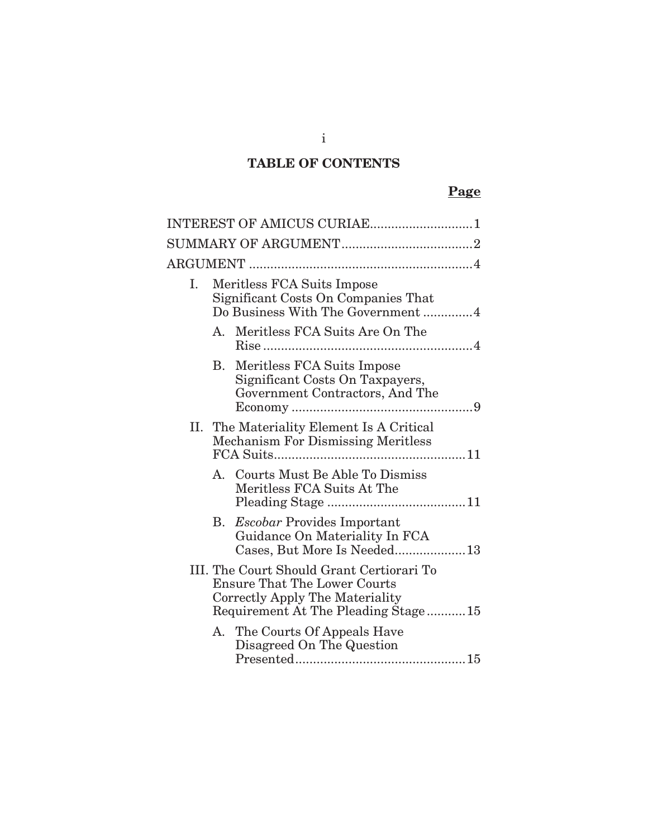# **TABLE OF CONTENTS**

# **Page**

|    |                                                                                                       | INTEREST OF AMICUS CURIAE1                                                                                                                                 |
|----|-------------------------------------------------------------------------------------------------------|------------------------------------------------------------------------------------------------------------------------------------------------------------|
|    |                                                                                                       |                                                                                                                                                            |
|    |                                                                                                       |                                                                                                                                                            |
| Ι. | Meritless FCA Suits Impose<br>Significant Costs On Companies That<br>Do Business With The Government4 |                                                                                                                                                            |
|    |                                                                                                       | A. Meritless FCA Suits Are On The                                                                                                                          |
|    | В.                                                                                                    | Meritless FCA Suits Impose<br>Significant Costs On Taxpayers,<br>Government Contractors, And The                                                           |
|    |                                                                                                       | II. The Materiality Element Is A Critical<br><b>Mechanism For Dismissing Meritless</b>                                                                     |
|    |                                                                                                       | A. Courts Must Be Able To Dismiss<br>Meritless FCA Suits At The                                                                                            |
|    | Β.                                                                                                    | <i>Escobar</i> Provides Important<br>Guidance On Materiality In FCA<br>Cases, But More Is Needed13                                                         |
|    |                                                                                                       | III. The Court Should Grant Certiorari To<br><b>Ensure That The Lower Courts</b><br>Correctly Apply The Materiality<br>Requirement At The Pleading Stage15 |
|    |                                                                                                       | A. The Courts Of Appeals Have<br>Disagreed On The Question                                                                                                 |

i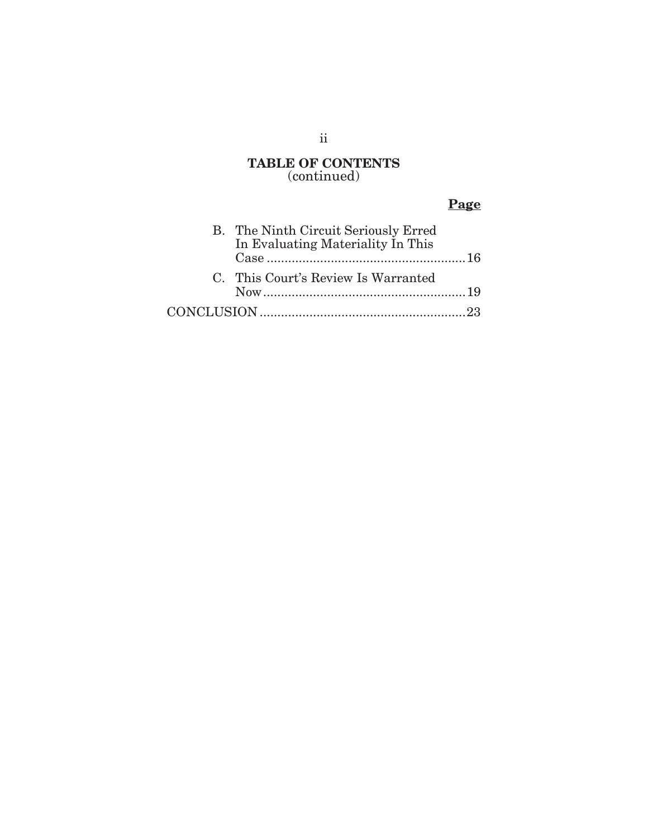### **TABLE OF CONTENTS** (continued)

# **Page**

|  | B. The Ninth Circuit Seriously Erred<br>In Evaluating Materiality In This |  |
|--|---------------------------------------------------------------------------|--|
|  |                                                                           |  |
|  | C. This Court's Review Is Warranted                                       |  |
|  |                                                                           |  |
|  |                                                                           |  |

## ii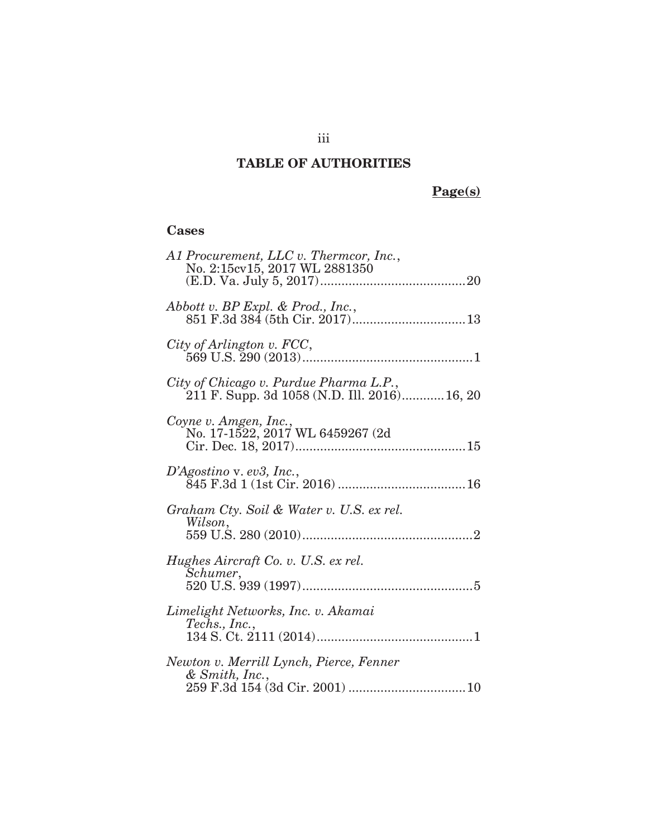# **TABLE OF AUTHORITIES**

# **Page(s)**

# **Cases**

| A1 Procurement, LLC v. Thermcor, Inc.,<br>No. 2:15cv15, 2017 WL 2881350                |
|----------------------------------------------------------------------------------------|
| Abbott v. BP Expl. & Prod., Inc.,                                                      |
| City of Arlington v. FCC,                                                              |
| City of Chicago v. Purdue Pharma L.P.,<br>211 F. Supp. 3d 1058 (N.D. Ill. 2016) 16, 20 |
| Coyne v. Amgen, Inc.,<br>No. 17-1522, 2017 WL 6459267 (2d)                             |
| $D'Agostino$ v. ev3, Inc.,                                                             |
| Graham Cty. Soil & Water v. U.S. ex rel.<br>Wilson,                                    |
| Hughes Aircraft Co. v. U.S. ex rel.<br>Schumer,                                        |
| Limelight Networks, Inc. v. Akamai<br>Techs., Inc.,                                    |
| Newton v. Merrill Lynch, Pierce, Fenner<br>& Smith, Inc.,                              |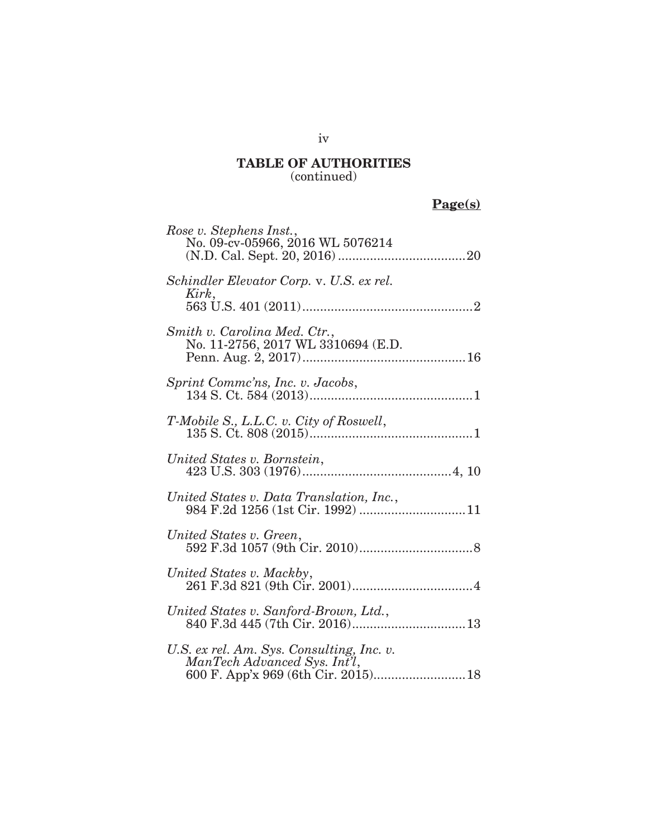**Page(s)** 

| Rose v. Stephens Inst.,<br>No. 09-cv-05966, 2016 WL 5076214                                                            |
|------------------------------------------------------------------------------------------------------------------------|
| Schindler Elevator Corp. v. U.S. ex rel.<br>Kirk,                                                                      |
| Smith v. Carolina Med. Ctr.,<br>No. 11-2756, 2017 WL 3310694 (E.D.                                                     |
| <i>Sprint Comme'ns, Inc. v. Jacobs,</i>                                                                                |
| T-Mobile S., L.L.C. v. City of Roswell,                                                                                |
| United States v. Bornstein,                                                                                            |
|                                                                                                                        |
| United States v. Green,                                                                                                |
| United States v. Mackby,                                                                                               |
| United States v. Sanford-Brown, Ltd.,<br><i>tted States v. Sanford-Brown, Ltd.,<br/>840 F.3d 445 (7th Cir. 2016)13</i> |
| U.S. ex rel. Am. Sys. Consulting, Inc. v.<br>ManTech Advanced Sys. Int'l,                                              |

iv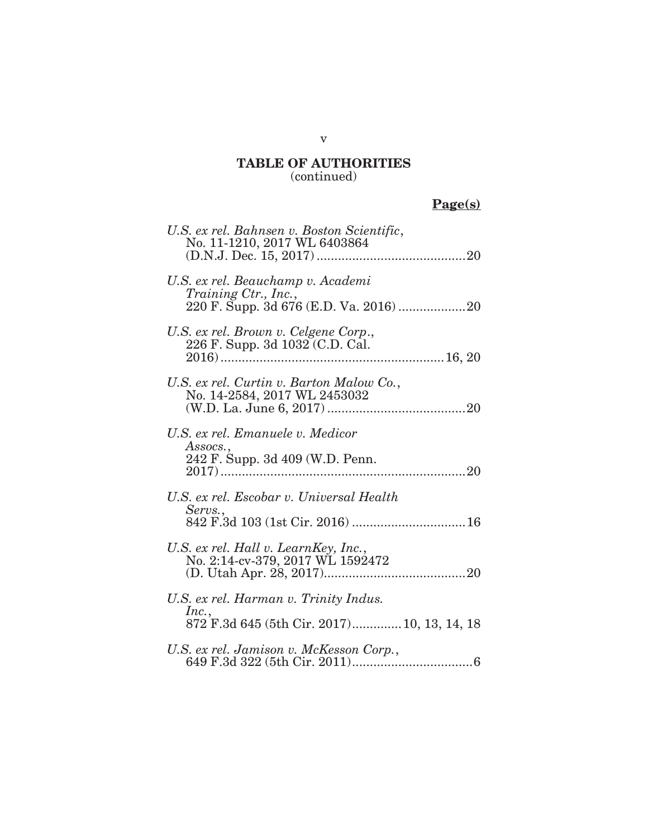# **Page(s)**

| U.S. ex rel. Bahnsen v. Boston Scientific,<br>No. 11-1210, 2017 WL 6403864                    |
|-----------------------------------------------------------------------------------------------|
| U.S. ex rel. Beauchamp v. Academi<br><i>Training Ctr., Inc.,</i>                              |
| U.S. ex rel. Brown v. Celgene Corp.,<br>226 F. Supp. 3d 1032 (C.D. Cal.                       |
| U.S. ex rel. Curtin v. Barton Malow Co.,<br>No. 14-2584, 2017 WL 2453032                      |
| U.S. ex rel. Emanuele v. Medicor<br>Assocs.,<br>242 F. Supp. 3d 409 (W.D. Penn.               |
| U.S. ex rel. Escobar v. Universal Health<br>Servs.,                                           |
| U.S. ex rel. Hall v. LearnKey, Inc.,<br>No. 2:14-cv-379, 2017 WL 1592472                      |
| U.S. ex rel. Harman v. Trinity Indus.<br>Inc.,<br>872 F.3d 645 (5th Cir. 2017) 10, 13, 14, 18 |
| U.S. ex rel. Jamison v. McKesson Corp.,                                                       |

### v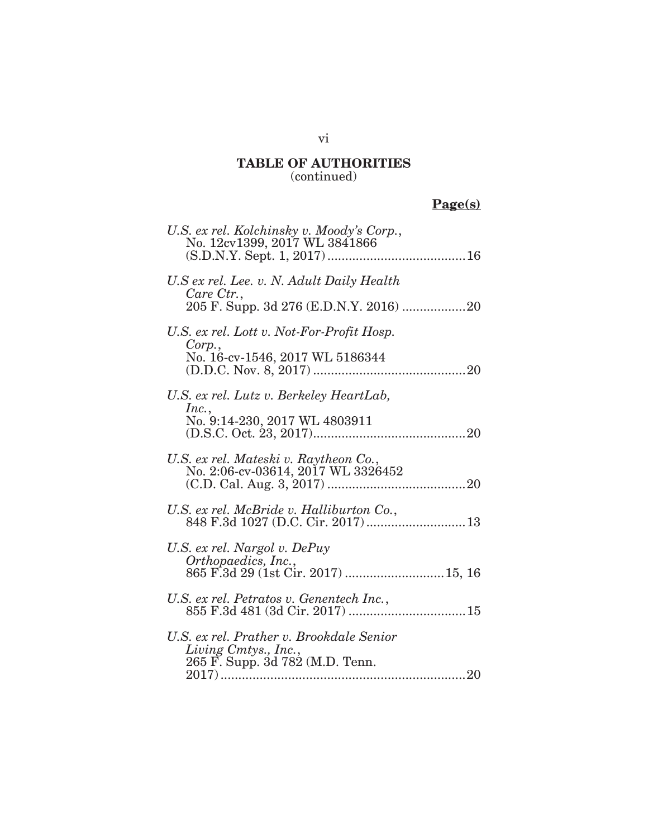# **Page(s)**

| U.S. ex rel. Kolchinsky v. Moody's Corp.,<br>No. 12cv1399, 2017 WL 3841866                          |
|-----------------------------------------------------------------------------------------------------|
| U.S ex rel. Lee. v. N. Adult Daily Health<br>Care Ctr.,                                             |
| U.S. ex rel. Lott v. Not-For-Profit Hosp.<br>Corp.,<br>No. 16-cv-1546, 2017 WL 5186344              |
| U.S. ex rel. Lutz v. Berkeley HeartLab,<br>Inc.,<br>No. 9:14-230, 2017 WL 4803911                   |
| U.S. ex rel. Mateski v. Raytheon Co.,<br>No. 2:06-cv-03614, 2017 WL 3326452                         |
| U.S. ex rel. McBride v. Halliburton Co.,<br>848 F.3d 1027 (D.C. Cir. 2017) 13                       |
| U.S. ex rel. Nargol v. DePuy<br>Orthopaedics, Inc.,<br>865 F.3d 29 (1st Cir. 2017)  15, 16          |
| U.S. ex rel. Petratos v. Genentech Inc.,                                                            |
| U.S. ex rel. Prather v. Brookdale Senior<br>Living Cmtys., Inc.,<br>265 F. Supp. 3d 782 (M.D. Tenn. |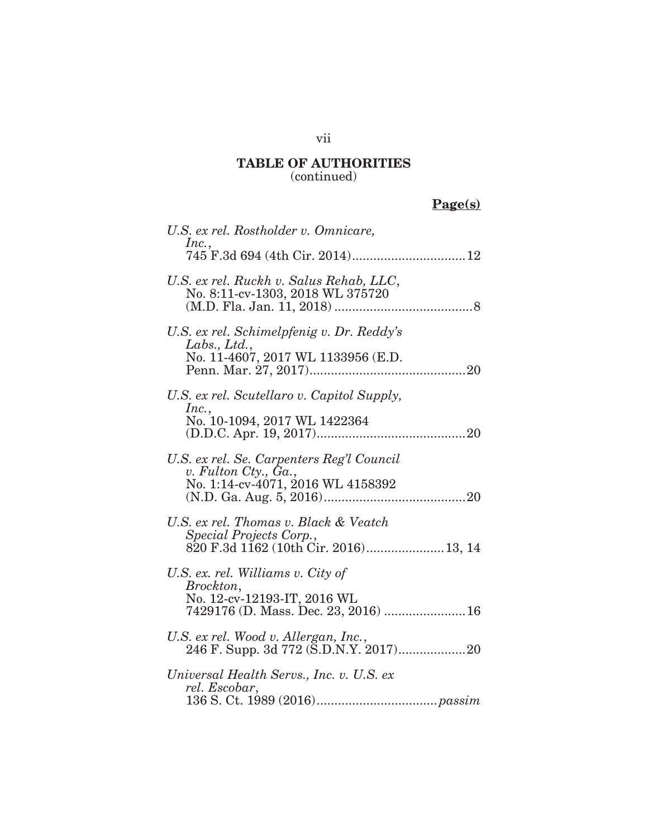# **Page(s)**

| U.S. ex rel. Rostholder v. Omnicare,                                                                                  |
|-----------------------------------------------------------------------------------------------------------------------|
| Inc.,                                                                                                                 |
| U.S. ex rel. Ruckh v. Salus Rehab, LLC,<br>No. 8:11-cv-1303, 2018 WL 375720                                           |
| U.S. ex rel. Schimelpfenig v. Dr. Reddy's<br>Labs., Ltd.,<br>No. 11-4607, 2017 WL 1133956 (E.D.                       |
| U.S. ex rel. Scutellaro v. Capitol Supply,<br>Inc.,<br>No. 10-1094, 2017 WL 1422364                                   |
| U.S. ex rel. Se. Carpenters Reg'l Council<br>v. Fulton Cty., Ga.,<br>No. 1:14-cv-4071, 2016 WL 4158392                |
| U.S. ex rel. Thomas v. Black & Veatch<br>Special Projects Corp.,                                                      |
| U.S. ex. rel. Williams v. City of<br>Brockton,<br>No. 12-cv-12193-IT, 2016 WL<br>7429176 (D. Mass. Dec. 23, 2016)  16 |
| U.S. ex rel. Wood v. Allergan, Inc.,                                                                                  |
| Universal Health Servs., Inc. v. U.S. ex<br>rel. Escobar,                                                             |

## vii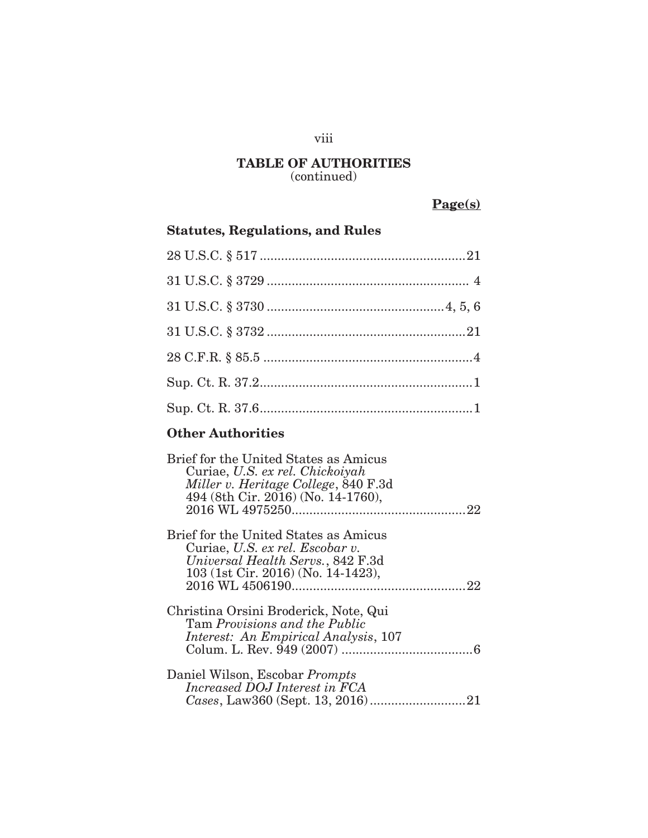# viii

#### **TABLE OF AUTHORITIES**  (continued)

# **Page(s)**

| <b>Statutes, Regulations, and Rules</b> |  |
|-----------------------------------------|--|
|                                         |  |
|                                         |  |
|                                         |  |
|                                         |  |
|                                         |  |
|                                         |  |
|                                         |  |
|                                         |  |

# **Other Authorities**

| Brief for the United States as Amicus<br>Curiae, U.S. ex rel. Chickoiyah<br>Miller v. Heritage College, 840 F.3d<br>494 (8th Cir. 2016) (No. 14-1760), |
|--------------------------------------------------------------------------------------------------------------------------------------------------------|
| Brief for the United States as Amicus<br>Curiae, U.S. ex rel. Escobar v.<br>Universal Health Servs., 842 F.3d<br>103 (1st Cir. 2016) (No. 14-1423),    |
| Christina Orsini Broderick, Note, Qui<br>Tam Provisions and the Public<br>Interest: An Empirical Analysis, 107                                         |
| Daniel Wilson, Escobar Prompts<br>Increased DOJ Interest in FCA                                                                                        |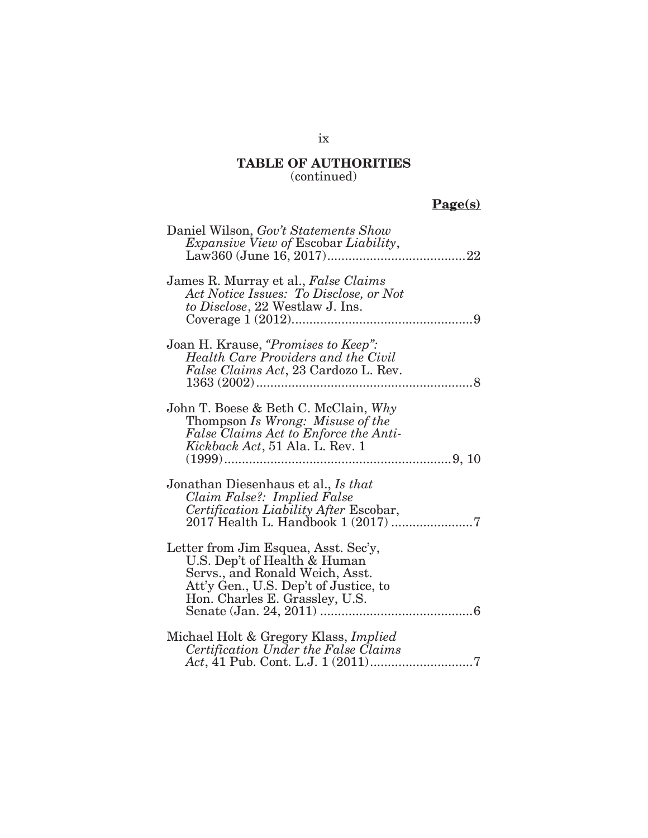# **Page(s)**

| Daniel Wilson, Gov't Statements Show<br><i>Expansive View of Escobar Liability,</i>                                                                                                |
|------------------------------------------------------------------------------------------------------------------------------------------------------------------------------------|
| James R. Murray et al., False Claims<br>Act Notice Issues: To Disclose, or Not<br>to Disclose, 22 Westlaw J. Ins.                                                                  |
| Joan H. Krause, "Promises to Keep":<br>Health Care Providers and the Civil<br><i>False Claims Act</i> , 23 Cardozo L. Rev.<br>1363(2002)<br>. 8                                    |
| John T. Boese & Beth C. McClain, Why<br>Thompson Is Wrong: Misuse of the<br>False Claims Act to Enforce the Anti-<br>Kickback Act, 51 Ala. L. Rev. 1                               |
| Jonathan Diesenhaus et al., Is that<br>Claim False?: Implied False<br>Certification Liability After Escobar,                                                                       |
| Letter from Jim Esquea, Asst. Sec'y,<br>U.S. Dep't of Health & Human<br>Servs., and Ronald Weich, Asst.<br>Att'y Gen., U.S. Dep't of Justice, to<br>Hon. Charles E. Grassley, U.S. |
| Michael Holt & Gregory Klass, Implied<br>Certification Under the False Claims                                                                                                      |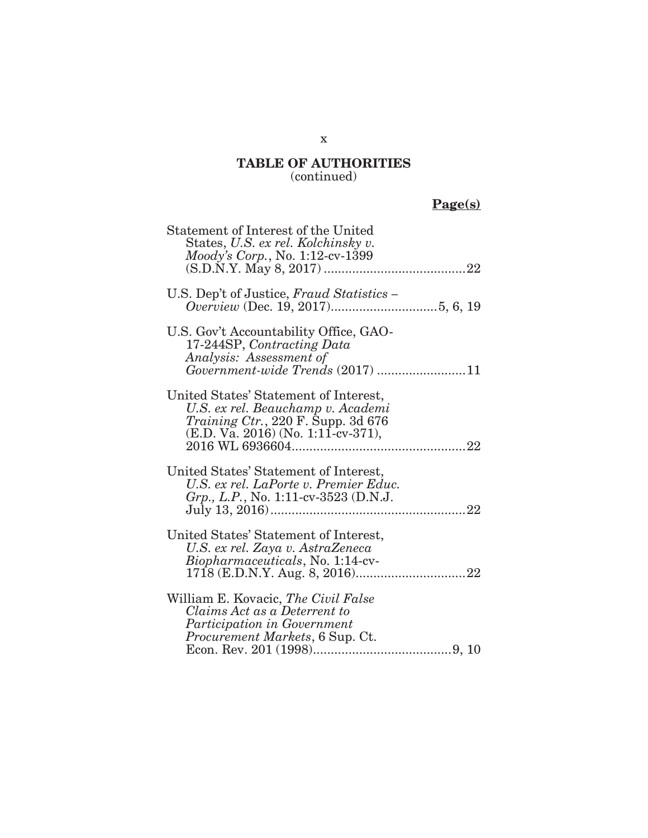# **Page(s)**

| Statement of Interest of the United<br>States, U.S. ex rel. Kolchinsky v.<br><i>Moody's Corp.</i> , No. 1:12-cv-1399                                               |  |
|--------------------------------------------------------------------------------------------------------------------------------------------------------------------|--|
| U.S. Dep't of Justice, Fraud Statistics -                                                                                                                          |  |
| U.S. Gov't Accountability Office, GAO-<br>17-244SP, Contracting Data<br>Analysis: Assessment of<br>Government-wide Trends (2017) 11                                |  |
| United States' Statement of Interest,<br>U.S. ex rel. Beauchamp v. Academi<br><i>Training Ctr.</i> , 220 F. Supp. 3d $676$<br>$(E.D. Va. 2016) (No. 1:11-cv-371),$ |  |
| United States' Statement of Interest,<br>U.S. ex rel. LaPorte v. Premier Educ.<br>Grp., L.P., No. 1:11-cv-3523 (D.N.J.                                             |  |
| United States' Statement of Interest,<br>U.S. ex rel. Zaya v. AstraZeneca<br>Biopharmaceuticals, No. 1:14-cv-                                                      |  |
| William E. Kovacic, The Civil False<br>Claims Act as a Deterrent to<br><i>Participation in Government</i><br><i>Procurement Markets, 6 Sup. Ct.</i>                |  |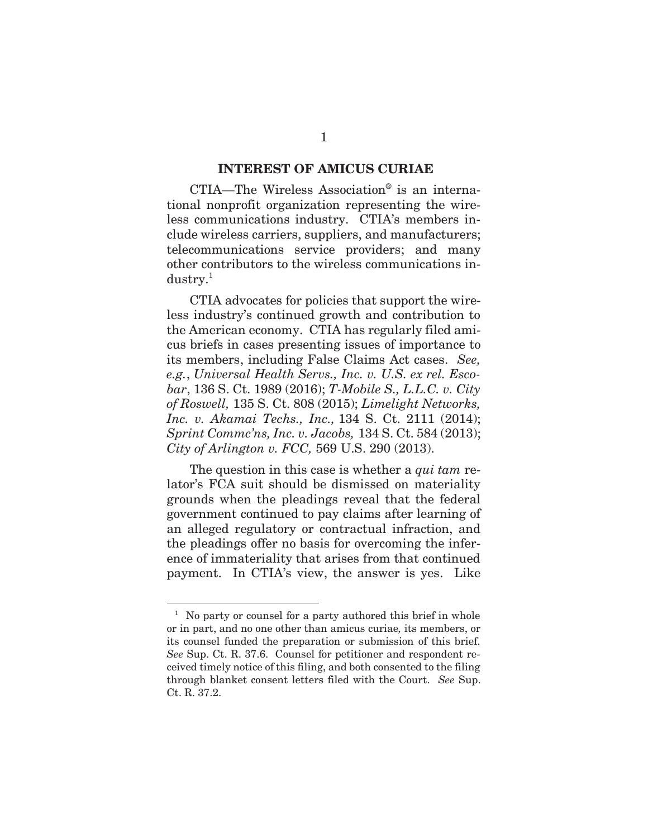#### **INTEREST OF AMICUS CURIAE**

CTIA—The Wireless Association® is an international nonprofit organization representing the wireless communications industry. CTIA's members include wireless carriers, suppliers, and manufacturers; telecommunications service providers; and many other contributors to the wireless communications in $dustry.<sup>1</sup>$ 

CTIA advocates for policies that support the wireless industry's continued growth and contribution to the American economy. CTIA has regularly filed amicus briefs in cases presenting issues of importance to its members, including False Claims Act cases. *See, e.g.*, *Universal Health Servs., Inc. v. U.S. ex rel. Escobar*, 136 S. Ct. 1989 (2016); *T-Mobile S., L.L.C. v. City of Roswell,* 135 S. Ct. 808 (2015); *Limelight Networks, Inc. v. Akamai Techs., Inc.,* 134 S. Ct. 2111 (2014); *Sprint Commc'ns, Inc. v. Jacobs,* 134 S. Ct. 584 (2013); *City of Arlington v. FCC,* 569 U.S. 290 (2013).

The question in this case is whether a *qui tam* relator's FCA suit should be dismissed on materiality grounds when the pleadings reveal that the federal government continued to pay claims after learning of an alleged regulatory or contractual infraction, and the pleadings offer no basis for overcoming the inference of immateriality that arises from that continued payment. In CTIA's view, the answer is yes. Like

 $\overline{a}$ 

<sup>&</sup>lt;sup>1</sup> No party or counsel for a party authored this brief in whole or in part, and no one other than amicus curiae*,* its members, or its counsel funded the preparation or submission of this brief. *See* Sup. Ct. R. 37.6. Counsel for petitioner and respondent received timely notice of this filing, and both consented to the filing through blanket consent letters filed with the Court. *See* Sup. Ct. R. 37.2.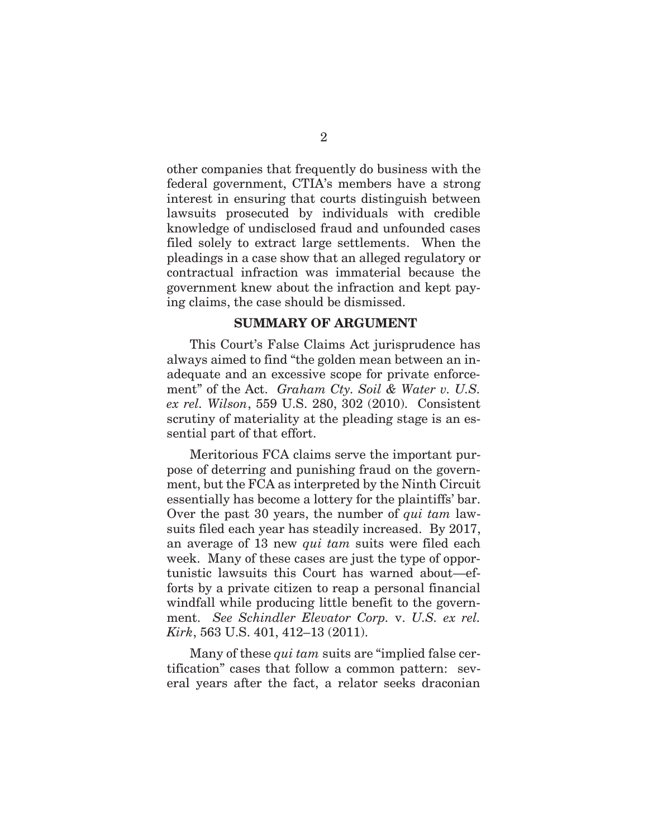other companies that frequently do business with the federal government, CTIA's members have a strong interest in ensuring that courts distinguish between lawsuits prosecuted by individuals with credible knowledge of undisclosed fraud and unfounded cases filed solely to extract large settlements. When the pleadings in a case show that an alleged regulatory or contractual infraction was immaterial because the government knew about the infraction and kept paying claims, the case should be dismissed.

### **SUMMARY OF ARGUMENT**

This Court's False Claims Act jurisprudence has always aimed to find "the golden mean between an inadequate and an excessive scope for private enforcement" of the Act. *Graham Cty. Soil & Water v. U.S. ex rel. Wilson*, 559 U.S. 280, 302 (2010). Consistent scrutiny of materiality at the pleading stage is an essential part of that effort.

Meritorious FCA claims serve the important purpose of deterring and punishing fraud on the government, but the FCA as interpreted by the Ninth Circuit essentially has become a lottery for the plaintiffs' bar. Over the past 30 years, the number of *qui tam* lawsuits filed each year has steadily increased. By 2017, an average of 13 new *qui tam* suits were filed each week. Many of these cases are just the type of opportunistic lawsuits this Court has warned about—efforts by a private citizen to reap a personal financial windfall while producing little benefit to the government. *See Schindler Elevator Corp.* v. *U.S. ex rel. Kirk*, 563 U.S. 401, 412–13 (2011).

Many of these *qui tam* suits are "implied false certification" cases that follow a common pattern: several years after the fact, a relator seeks draconian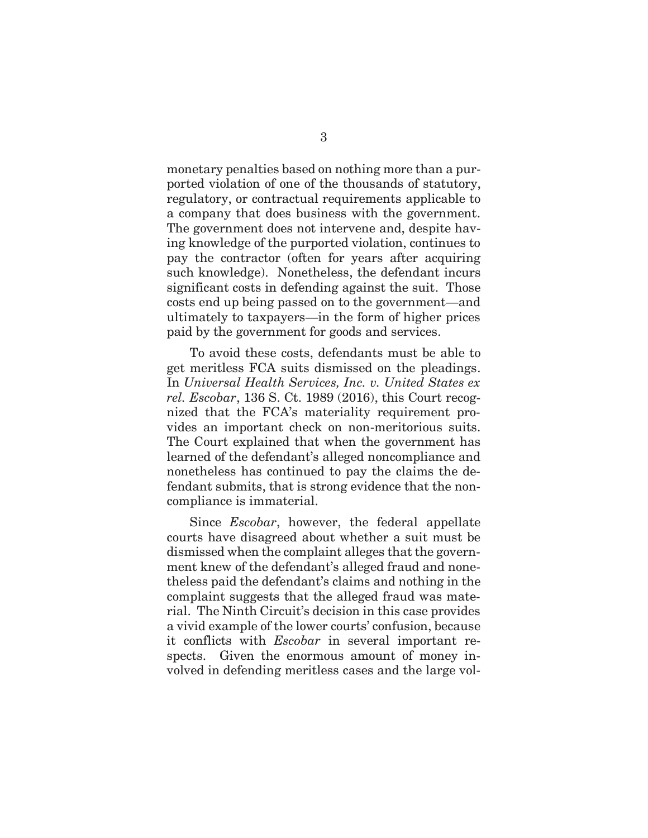monetary penalties based on nothing more than a purported violation of one of the thousands of statutory, regulatory, or contractual requirements applicable to a company that does business with the government. The government does not intervene and, despite having knowledge of the purported violation, continues to pay the contractor (often for years after acquiring such knowledge). Nonetheless, the defendant incurs significant costs in defending against the suit. Those costs end up being passed on to the government—and ultimately to taxpayers—in the form of higher prices paid by the government for goods and services.

To avoid these costs, defendants must be able to get meritless FCA suits dismissed on the pleadings. In *Universal Health Services, Inc. v. United States ex rel. Escobar*, 136 S. Ct. 1989 (2016), this Court recognized that the FCA's materiality requirement provides an important check on non-meritorious suits. The Court explained that when the government has learned of the defendant's alleged noncompliance and nonetheless has continued to pay the claims the defendant submits, that is strong evidence that the noncompliance is immaterial.

Since *Escobar*, however, the federal appellate courts have disagreed about whether a suit must be dismissed when the complaint alleges that the government knew of the defendant's alleged fraud and nonetheless paid the defendant's claims and nothing in the complaint suggests that the alleged fraud was material. The Ninth Circuit's decision in this case provides a vivid example of the lower courts' confusion, because it conflicts with *Escobar* in several important respects. Given the enormous amount of money involved in defending meritless cases and the large vol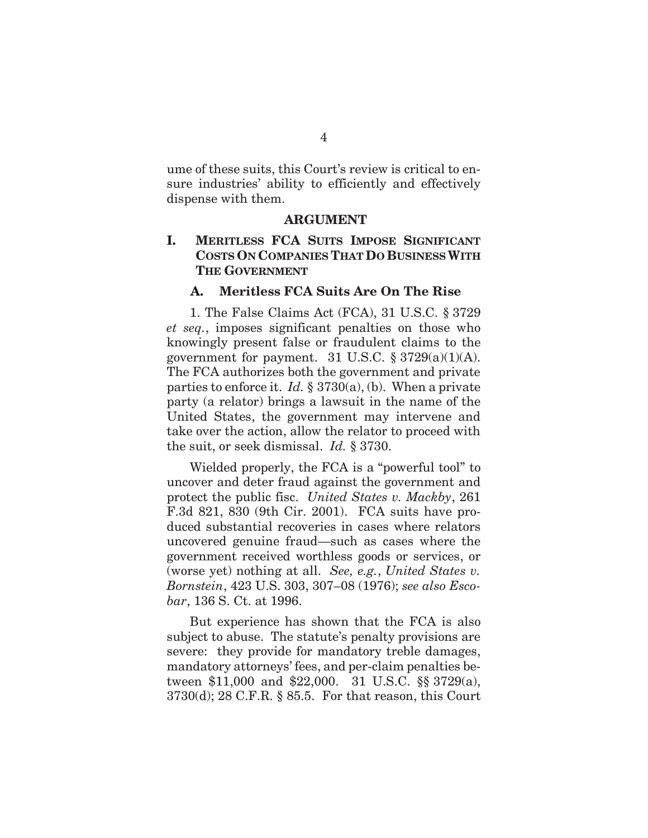ume of these suits, this Court's review is critical to ensure industries' ability to efficiently and effectively dispense with them.

#### **ARGUMENT**

## **I. MERITLESS FCA SUITS IMPOSE SIGNIFICANT COSTS ON COMPANIES THAT DO BUSINESS WITH THE GOVERNMENT**

### **A. Meritless FCA Suits Are On The Rise**

1. The False Claims Act (FCA), 31 U.S.C. § 3729 *et seq.*, imposes significant penalties on those who knowingly present false or fraudulent claims to the government for payment. 31 U.S.C.  $\S 3729(a)(1)(A)$ . The FCA authorizes both the government and private parties to enforce it. *Id.* § 3730(a), (b). When a private party (a relator) brings a lawsuit in the name of the United States, the government may intervene and take over the action, allow the relator to proceed with the suit, or seek dismissal. *Id.* § 3730.

Wielded properly, the FCA is a "powerful tool" to uncover and deter fraud against the government and protect the public fisc. *United States v. Mackby*, 261 F.3d 821, 830 (9th Cir. 2001). FCA suits have produced substantial recoveries in cases where relators uncovered genuine fraud—such as cases where the government received worthless goods or services, or (worse yet) nothing at all. *See, e.g.*, *United States v. Bornstein*, 423 U.S. 303, 307–08 (1976); *see also Escobar*, 136 S. Ct. at 1996.

But experience has shown that the FCA is also subject to abuse. The statute's penalty provisions are severe: they provide for mandatory treble damages, mandatory attorneys' fees, and per-claim penalties between \$11,000 and \$22,000. 31 U.S.C. §§ 3729(a), 3730(d); 28 C.F.R. § 85.5. For that reason, this Court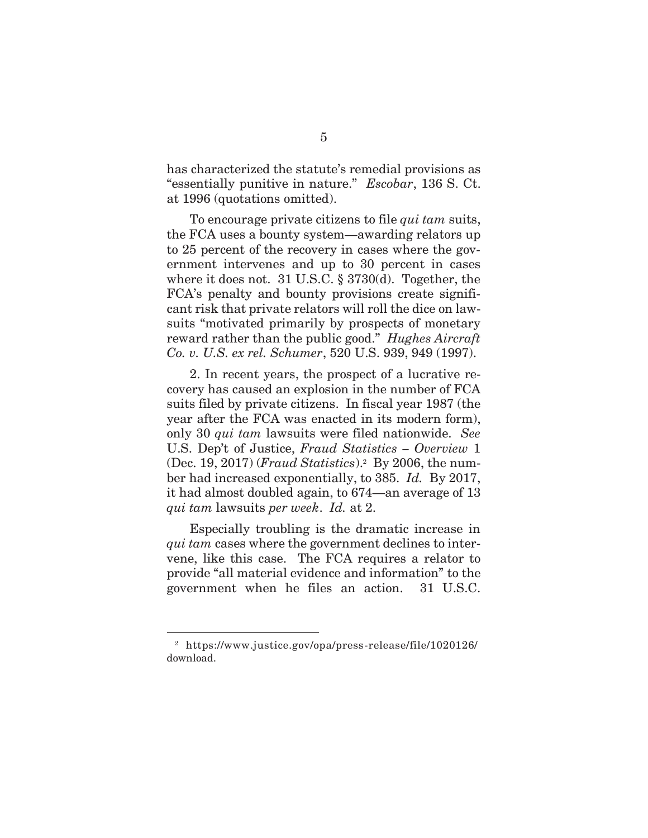has characterized the statute's remedial provisions as "essentially punitive in nature." *Escobar*, 136 S. Ct. at 1996 (quotations omitted).

To encourage private citizens to file *qui tam* suits, the FCA uses a bounty system—awarding relators up to 25 percent of the recovery in cases where the government intervenes and up to 30 percent in cases where it does not. 31 U.S.C. § 3730(d). Together, the FCA's penalty and bounty provisions create significant risk that private relators will roll the dice on lawsuits "motivated primarily by prospects of monetary reward rather than the public good." *Hughes Aircraft Co. v. U.S. ex rel. Schumer*, 520 U.S. 939, 949 (1997).

2. In recent years, the prospect of a lucrative recovery has caused an explosion in the number of FCA suits filed by private citizens. In fiscal year 1987 (the year after the FCA was enacted in its modern form), only 30 *qui tam* lawsuits were filed nationwide. *See*  U.S. Dep't of Justice, *Fraud Statistics – Overview* 1 (Dec. 19, 2017) (*Fraud Statistics*).2 By 2006, the number had increased exponentially, to 385. *Id.* By 2017, it had almost doubled again, to 674—an average of 13 *qui tam* lawsuits *per week*. *Id.* at 2.

Especially troubling is the dramatic increase in *qui tam* cases where the government declines to intervene, like this case. The FCA requires a relator to provide "all material evidence and information" to the government when he files an action. 31 U.S.C.

 $\overline{a}$ 

<sup>2</sup> https://www.justice.gov/opa/press-release/file/1020126/ download.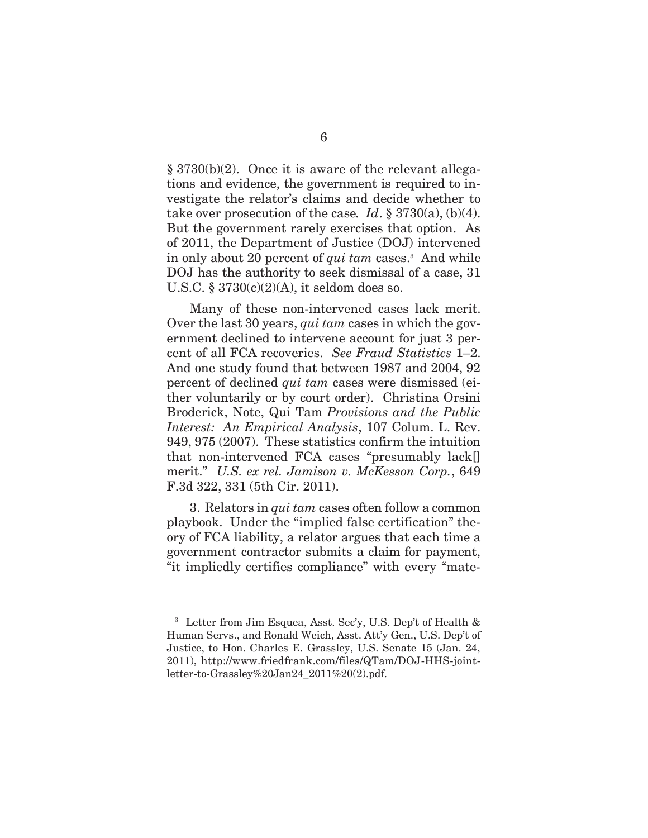§ 3730(b)(2). Once it is aware of the relevant allegations and evidence, the government is required to investigate the relator's claims and decide whether to take over prosecution of the case. *Id.*  $\S 3730(a)$ , (b)(4). But the government rarely exercises that option. As of 2011, the Department of Justice (DOJ) intervened in only about 20 percent of *qui tam* cases.<sup>3</sup> And while DOJ has the authority to seek dismissal of a case, 31 U.S.C. § 3730(c)(2)(A), it seldom does so.

Many of these non-intervened cases lack merit. Over the last 30 years, *qui tam* cases in which the government declined to intervene account for just 3 percent of all FCA recoveries. *See Fraud Statistics* 1–2. And one study found that between 1987 and 2004, 92 percent of declined *qui tam* cases were dismissed (either voluntarily or by court order). Christina Orsini Broderick, Note, Qui Tam *Provisions and the Public Interest: An Empirical Analysis*, 107 Colum. L. Rev. 949, 975 (2007). These statistics confirm the intuition that non-intervened FCA cases "presumably lack[] merit." *U.S. ex rel. Jamison v. McKesson Corp.*, 649 F.3d 322, 331 (5th Cir. 2011).

3. Relators in *qui tam* cases often follow a common playbook. Under the "implied false certification" theory of FCA liability, a relator argues that each time a government contractor submits a claim for payment, "it impliedly certifies compliance" with every "mate-

 $\overline{a}$ 

<sup>3</sup> Letter from Jim Esquea, Asst. Sec'y, U.S. Dep't of Health & Human Servs., and Ronald Weich, Asst. Att'y Gen., U.S. Dep't of Justice, to Hon. Charles E. Grassley, U.S. Senate 15 (Jan. 24, 2011), http://www.friedfrank.com/files/QTam/DOJ-HHS-jointletter-to-Grassley%20Jan24\_2011%20(2).pdf.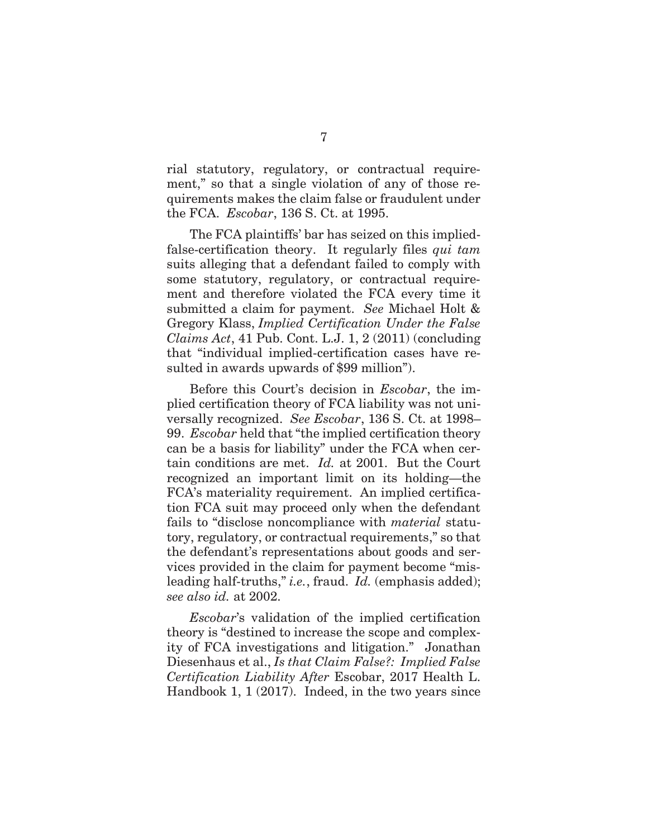rial statutory, regulatory, or contractual requirement," so that a single violation of any of those requirements makes the claim false or fraudulent under the FCA. *Escobar*, 136 S. Ct. at 1995.

The FCA plaintiffs' bar has seized on this impliedfalse-certification theory. It regularly files *qui tam*  suits alleging that a defendant failed to comply with some statutory, regulatory, or contractual requirement and therefore violated the FCA every time it submitted a claim for payment. *See* Michael Holt & Gregory Klass, *Implied Certification Under the False Claims Act*, 41 Pub. Cont. L.J. 1, 2 (2011) (concluding that "individual implied-certification cases have resulted in awards upwards of \$99 million").

Before this Court's decision in *Escobar*, the implied certification theory of FCA liability was not universally recognized. *See Escobar*, 136 S. Ct. at 1998– 99. *Escobar* held that "the implied certification theory can be a basis for liability" under the FCA when certain conditions are met. *Id.* at 2001. But the Court recognized an important limit on its holding—the FCA's materiality requirement. An implied certification FCA suit may proceed only when the defendant fails to "disclose noncompliance with *material* statutory, regulatory, or contractual requirements," so that the defendant's representations about goods and services provided in the claim for payment become "misleading half-truths," *i.e.*, fraud. *Id.* (emphasis added); *see also id.* at 2002.

*Escobar*'s validation of the implied certification theory is "destined to increase the scope and complexity of FCA investigations and litigation." Jonathan Diesenhaus et al., *Is that Claim False?: Implied False Certification Liability After* Escobar, 2017 Health L. Handbook 1, 1 (2017). Indeed, in the two years since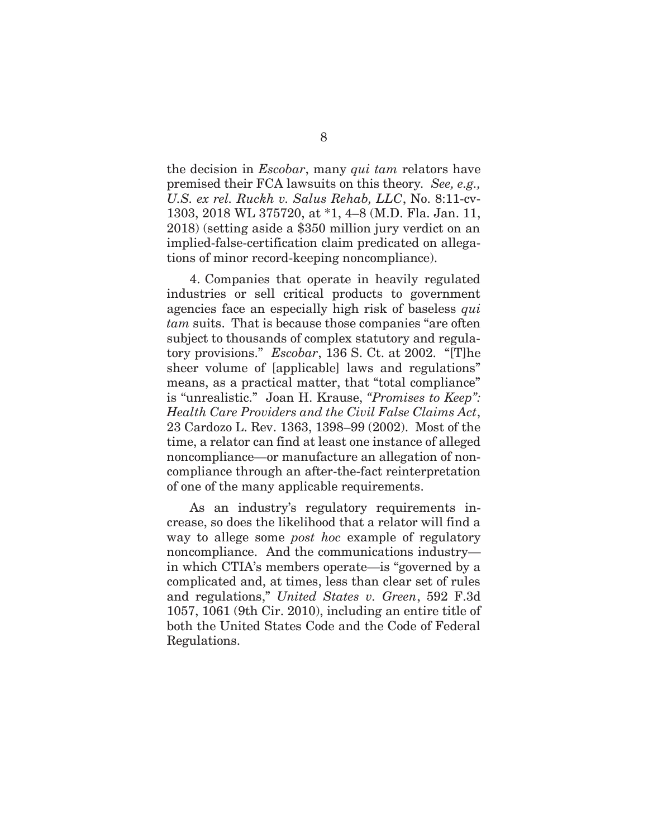the decision in *Escobar*, many *qui tam* relators have premised their FCA lawsuits on this theory*. See, e.g., U.S. ex rel. Ruckh v. Salus Rehab, LLC*, No. 8:11-cv-1303, 2018 WL 375720, at \*1, 4–8 (M.D. Fla. Jan. 11, 2018) (setting aside a \$350 million jury verdict on an implied-false-certification claim predicated on allegations of minor record-keeping noncompliance).

4. Companies that operate in heavily regulated industries or sell critical products to government agencies face an especially high risk of baseless *qui tam* suits. That is because those companies "are often subject to thousands of complex statutory and regulatory provisions." *Escobar*, 136 S. Ct. at 2002. "[T]he sheer volume of [applicable] laws and regulations" means, as a practical matter, that "total compliance" is "unrealistic." Joan H. Krause, *"Promises to Keep": Health Care Providers and the Civil False Claims Act*, 23 Cardozo L. Rev. 1363, 1398–99 (2002). Most of the time, a relator can find at least one instance of alleged noncompliance—or manufacture an allegation of noncompliance through an after-the-fact reinterpretation of one of the many applicable requirements.

As an industry's regulatory requirements increase, so does the likelihood that a relator will find a way to allege some *post hoc* example of regulatory noncompliance. And the communications industry in which CTIA's members operate—is "governed by a complicated and, at times, less than clear set of rules and regulations," *United States v. Green*, 592 F.3d 1057, 1061 (9th Cir. 2010), including an entire title of both the United States Code and the Code of Federal Regulations.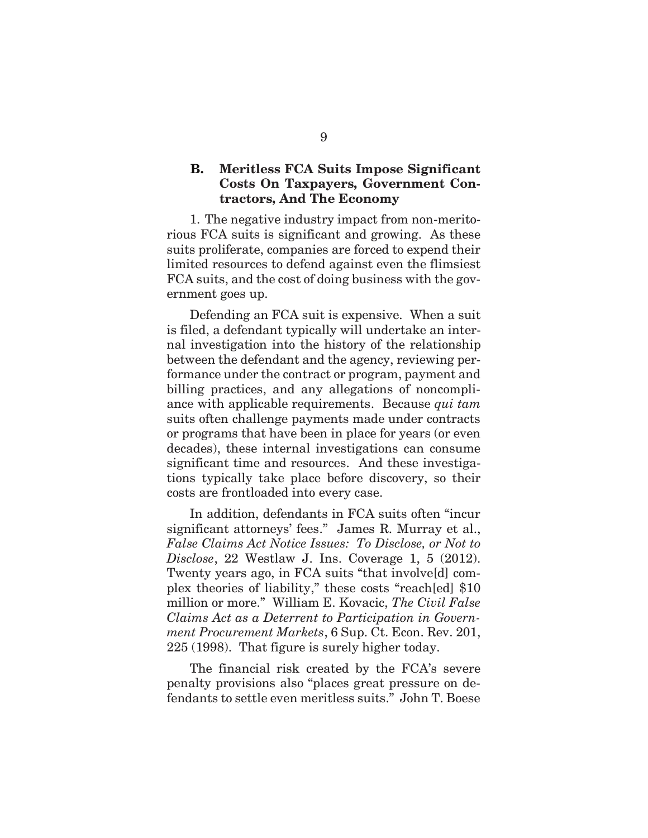## **B. Meritless FCA Suits Impose Significant Costs On Taxpayers, Government Contractors, And The Economy**

1. The negative industry impact from non-meritorious FCA suits is significant and growing. As these suits proliferate, companies are forced to expend their limited resources to defend against even the flimsiest FCA suits, and the cost of doing business with the government goes up.

Defending an FCA suit is expensive. When a suit is filed, a defendant typically will undertake an internal investigation into the history of the relationship between the defendant and the agency, reviewing performance under the contract or program, payment and billing practices, and any allegations of noncompliance with applicable requirements. Because *qui tam*  suits often challenge payments made under contracts or programs that have been in place for years (or even decades), these internal investigations can consume significant time and resources. And these investigations typically take place before discovery, so their costs are frontloaded into every case.

In addition, defendants in FCA suits often "incur significant attorneys' fees." James R. Murray et al., *False Claims Act Notice Issues: To Disclose, or Not to Disclose*, 22 Westlaw J. Ins. Coverage 1, 5 (2012). Twenty years ago, in FCA suits "that involve[d] complex theories of liability," these costs "reach[ed] \$10 million or more." William E. Kovacic, *The Civil False Claims Act as a Deterrent to Participation in Government Procurement Markets*, 6 Sup. Ct. Econ. Rev. 201, 225 (1998). That figure is surely higher today.

The financial risk created by the FCA's severe penalty provisions also "places great pressure on defendants to settle even meritless suits." John T. Boese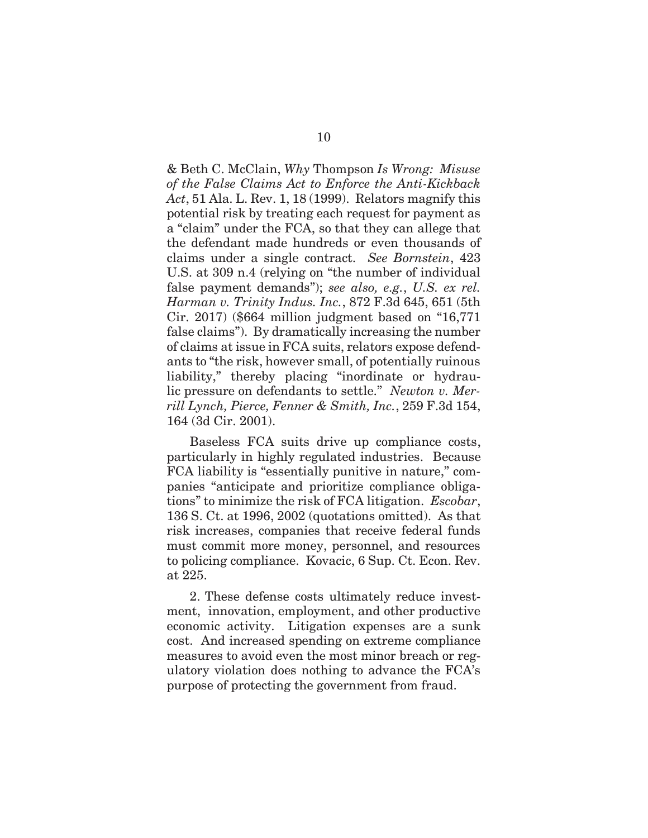& Beth C. McClain, *Why* Thompson *Is Wrong: Misuse of the False Claims Act to Enforce the Anti-Kickback Act*, 51 Ala. L. Rev. 1, 18 (1999). Relators magnify this potential risk by treating each request for payment as a "claim" under the FCA, so that they can allege that the defendant made hundreds or even thousands of claims under a single contract. *See Bornstein*, 423 U.S. at 309 n.4 (relying on "the number of individual false payment demands"); *see also, e.g.*, *U.S. ex rel. Harman v. Trinity Indus. Inc.*, 872 F.3d 645, 651 (5th Cir. 2017) (\$664 million judgment based on "16,771 false claims"). By dramatically increasing the number of claims at issue in FCA suits, relators expose defendants to "the risk, however small, of potentially ruinous liability," thereby placing "inordinate or hydraulic pressure on defendants to settle." *Newton v. Merrill Lynch, Pierce, Fenner & Smith, Inc.*, 259 F.3d 154, 164 (3d Cir. 2001).

Baseless FCA suits drive up compliance costs, particularly in highly regulated industries. Because FCA liability is "essentially punitive in nature," companies "anticipate and prioritize compliance obligations" to minimize the risk of FCA litigation. *Escobar*, 136 S. Ct. at 1996, 2002 (quotations omitted). As that risk increases, companies that receive federal funds must commit more money, personnel, and resources to policing compliance. Kovacic, 6 Sup. Ct. Econ. Rev. at 225.

2. These defense costs ultimately reduce investment, innovation, employment, and other productive economic activity. Litigation expenses are a sunk cost. And increased spending on extreme compliance measures to avoid even the most minor breach or regulatory violation does nothing to advance the FCA's purpose of protecting the government from fraud.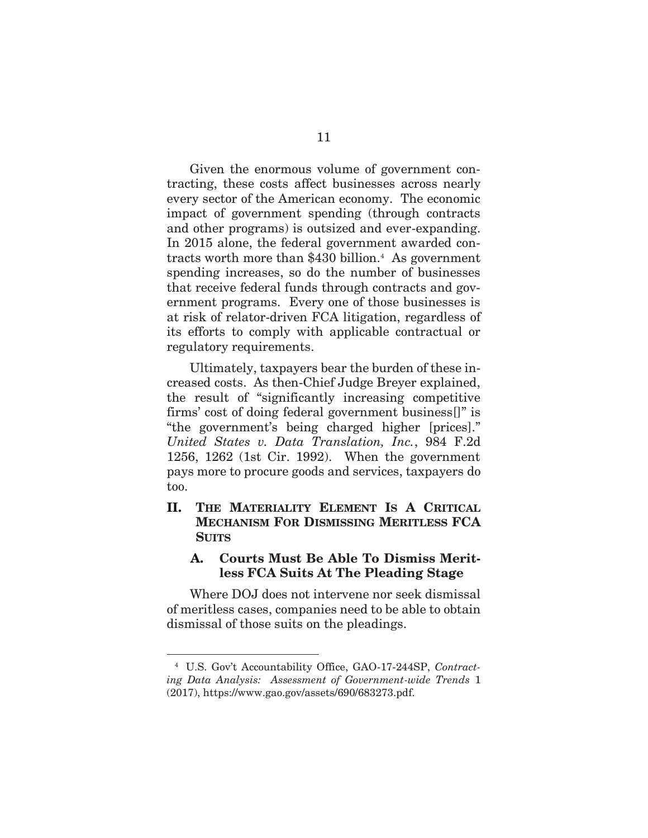Given the enormous volume of government contracting, these costs affect businesses across nearly every sector of the American economy. The economic impact of government spending (through contracts and other programs) is outsized and ever-expanding. In 2015 alone, the federal government awarded contracts worth more than \$430 billion.<sup>4</sup> As government spending increases, so do the number of businesses that receive federal funds through contracts and government programs. Every one of those businesses is at risk of relator-driven FCA litigation, regardless of its efforts to comply with applicable contractual or regulatory requirements.

Ultimately, taxpayers bear the burden of these increased costs. As then-Chief Judge Breyer explained, the result of "significantly increasing competitive firms' cost of doing federal government business[]" is "the government's being charged higher [prices]." *United States v. Data Translation, Inc.*, 984 F.2d 1256, 1262 (1st Cir. 1992). When the government pays more to procure goods and services, taxpayers do too.

## **II. THE MATERIALITY ELEMENT IS A CRITICAL MECHANISM FOR DISMISSING MERITLESS FCA SUITS**

## **A. Courts Must Be Able To Dismiss Meritless FCA Suits At The Pleading Stage**

Where DOJ does not intervene nor seek dismissal of meritless cases, companies need to be able to obtain dismissal of those suits on the pleadings.

l

<sup>4</sup> U.S. Gov't Accountability Office, GAO-17-244SP, *Contracting Data Analysis: Assessment of Government-wide Trends* 1 (2017), https://www.gao.gov/assets/690/683273.pdf.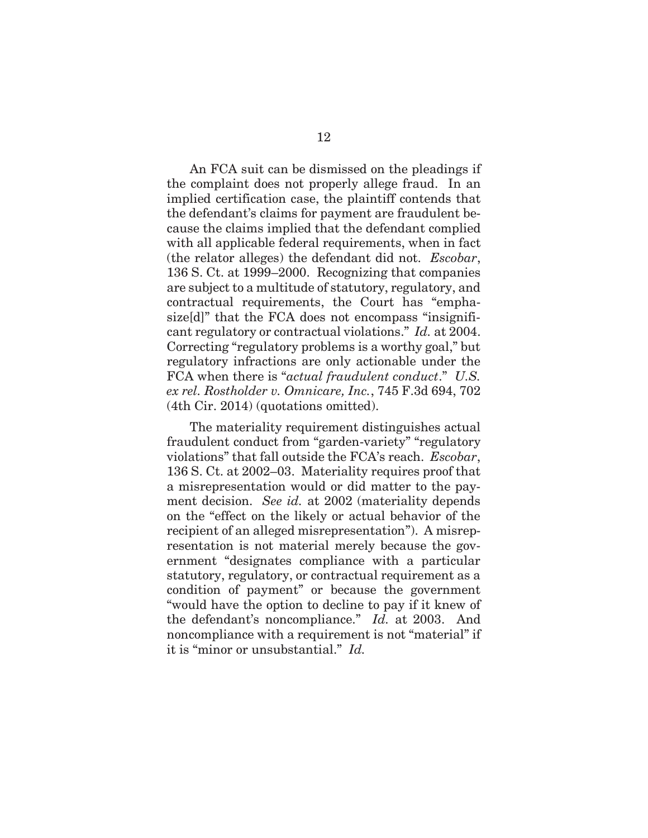An FCA suit can be dismissed on the pleadings if the complaint does not properly allege fraud. In an implied certification case, the plaintiff contends that the defendant's claims for payment are fraudulent because the claims implied that the defendant complied with all applicable federal requirements, when in fact (the relator alleges) the defendant did not. *Escobar*, 136 S. Ct. at 1999–2000. Recognizing that companies are subject to a multitude of statutory, regulatory, and contractual requirements, the Court has "emphasize[d]" that the FCA does not encompass "insignificant regulatory or contractual violations." *Id.* at 2004. Correcting "regulatory problems is a worthy goal," but regulatory infractions are only actionable under the FCA when there is "*actual fraudulent conduct*." *U.S. ex rel. Rostholder v. Omnicare, Inc.*, 745 F.3d 694, 702 (4th Cir. 2014) (quotations omitted).

The materiality requirement distinguishes actual fraudulent conduct from "garden-variety" "regulatory violations" that fall outside the FCA's reach. *Escobar*, 136 S. Ct. at 2002–03. Materiality requires proof that a misrepresentation would or did matter to the payment decision. *See id.* at 2002 (materiality depends on the "effect on the likely or actual behavior of the recipient of an alleged misrepresentation").A misrepresentation is not material merely because the government "designates compliance with a particular statutory, regulatory, or contractual requirement as a condition of payment" or because the government "would have the option to decline to pay if it knew of the defendant's noncompliance." *Id.* at 2003.And noncompliance with a requirement is not "material" if it is "minor or unsubstantial." *Id.*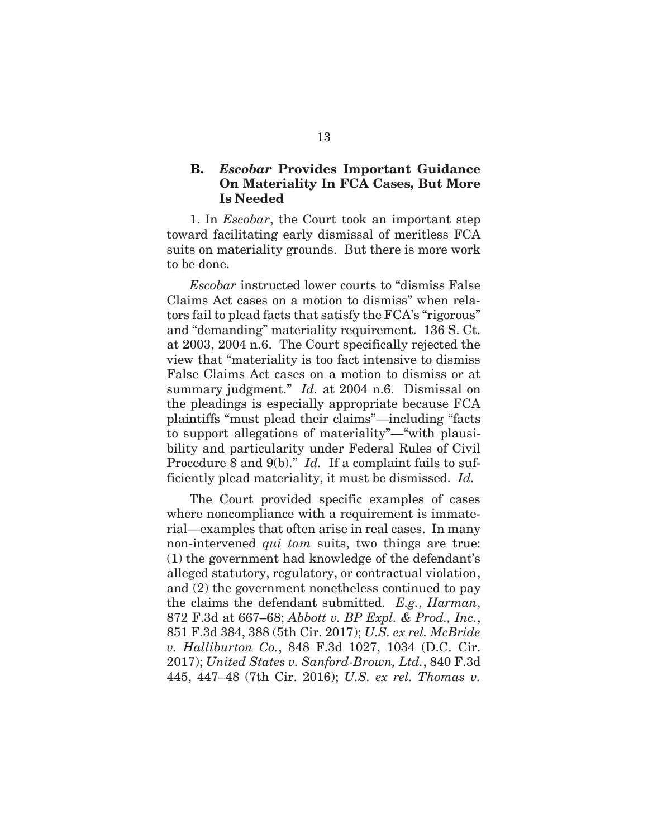## **B.** *Escobar* **Provides Important Guidance On Materiality In FCA Cases, But More Is Needed**

1. In *Escobar*, the Court took an important step toward facilitating early dismissal of meritless FCA suits on materiality grounds. But there is more work to be done.

*Escobar* instructed lower courts to "dismiss False Claims Act cases on a motion to dismiss" when relators fail to plead facts that satisfy the FCA's "rigorous" and "demanding" materiality requirement. 136 S. Ct. at 2003, 2004 n.6. The Court specifically rejected the view that "materiality is too fact intensive to dismiss False Claims Act cases on a motion to dismiss or at summary judgment." *Id.* at 2004 n.6. Dismissal on the pleadings is especially appropriate because FCA plaintiffs "must plead their claims"—including "facts to support allegations of materiality"—"with plausibility and particularity under Federal Rules of Civil Procedure 8 and 9(b)." *Id.* If a complaint fails to sufficiently plead materiality, it must be dismissed. *Id.*

The Court provided specific examples of cases where noncompliance with a requirement is immaterial—examples that often arise in real cases. In many non-intervened *qui tam* suits, two things are true: (1) the government had knowledge of the defendant's alleged statutory, regulatory, or contractual violation, and (2) the government nonetheless continued to pay the claims the defendant submitted. *E.g.*, *Harman*, 872 F.3d at 667–68; *Abbott v. BP Expl. & Prod., Inc.*, 851 F.3d 384, 388 (5th Cir. 2017); *U.S. ex rel. McBride v. Halliburton Co.*, 848 F.3d 1027, 1034 (D.C. Cir. 2017); *United States v. Sanford-Brown, Ltd.*, 840 F.3d 445, 447–48 (7th Cir. 2016); *U.S. ex rel. Thomas v.*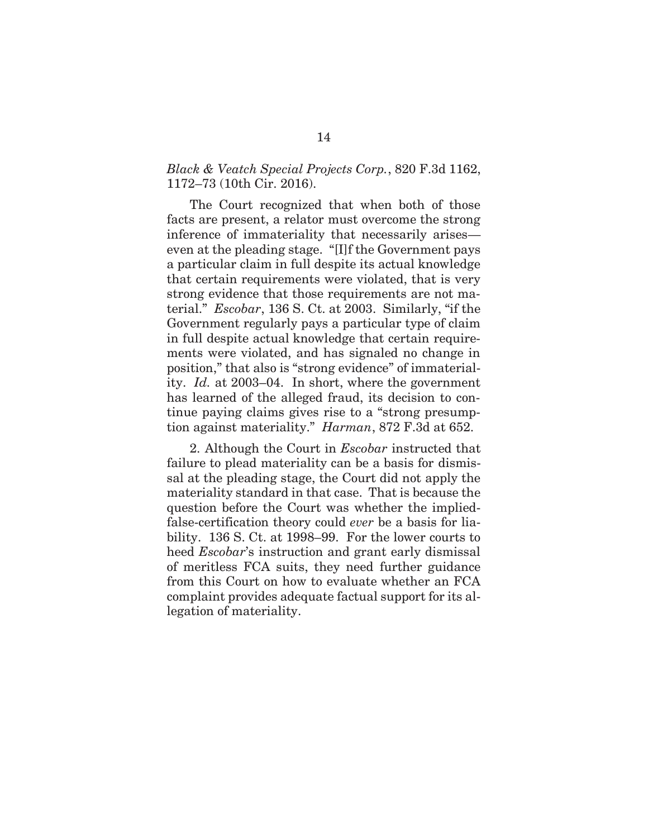### *Black & Veatch Special Projects Corp.*, 820 F.3d 1162, 1172–73 (10th Cir. 2016).

The Court recognized that when both of those facts are present, a relator must overcome the strong inference of immateriality that necessarily arises even at the pleading stage. "[I]f the Government pays a particular claim in full despite its actual knowledge that certain requirements were violated, that is very strong evidence that those requirements are not material." *Escobar*, 136 S. Ct. at 2003. Similarly, "if the Government regularly pays a particular type of claim in full despite actual knowledge that certain requirements were violated, and has signaled no change in position," that also is "strong evidence" of immateriality. *Id.* at 2003–04. In short, where the government has learned of the alleged fraud, its decision to continue paying claims gives rise to a "strong presumption against materiality." *Harman*, 872 F.3d at 652.

2. Although the Court in *Escobar* instructed that failure to plead materiality can be a basis for dismissal at the pleading stage, the Court did not apply the materiality standard in that case. That is because the question before the Court was whether the impliedfalse-certification theory could *ever* be a basis for liability. 136 S. Ct. at 1998–99. For the lower courts to heed *Escobar*'s instruction and grant early dismissal of meritless FCA suits, they need further guidance from this Court on how to evaluate whether an FCA complaint provides adequate factual support for its allegation of materiality.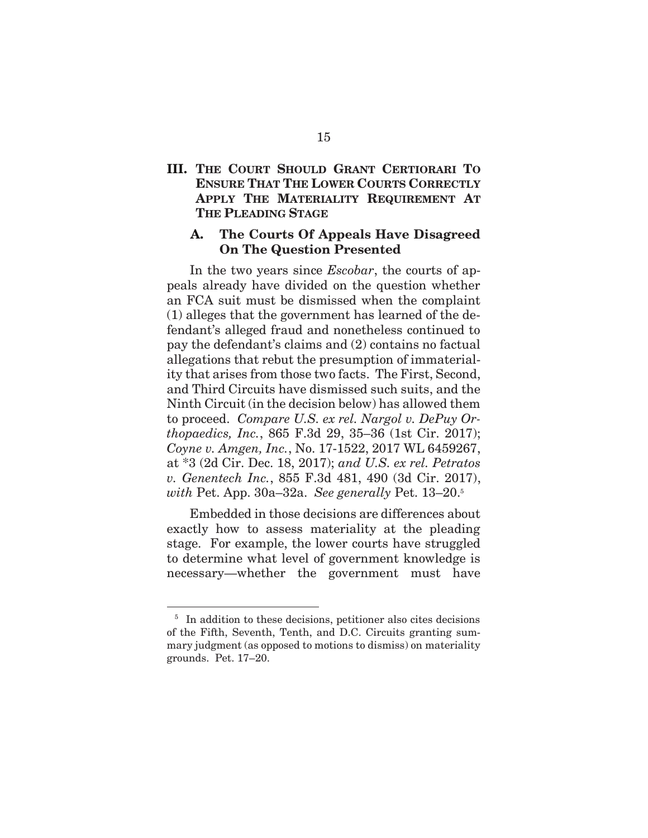## **III. THE COURT SHOULD GRANT CERTIORARI TO ENSURE THAT THE LOWER COURTS CORRECTLY APPLY THE MATERIALITY REQUIREMENT AT THE PLEADING STAGE**

### **A. The Courts Of Appeals Have Disagreed On The Question Presented**

In the two years since *Escobar*, the courts of appeals already have divided on the question whether an FCA suit must be dismissed when the complaint (1) alleges that the government has learned of the defendant's alleged fraud and nonetheless continued to pay the defendant's claims and (2) contains no factual allegations that rebut the presumption of immateriality that arises from those two facts. The First, Second, and Third Circuits have dismissed such suits, and the Ninth Circuit (in the decision below) has allowed them to proceed. *Compare U.S. ex rel. Nargol v. DePuy Orthopaedics, Inc.*, 865 F.3d 29, 35–36 (1st Cir. 2017); *Coyne v. Amgen, Inc.*, No. 17-1522, 2017 WL 6459267, at \*3 (2d Cir. Dec. 18, 2017); *and U.S. ex rel. Petratos v. Genentech Inc.*, 855 F.3d 481, 490 (3d Cir. 2017), *with* Pet. App. 30a–32a. *See generally* Pet. 13–20.5

Embedded in those decisions are differences about exactly how to assess materiality at the pleading stage. For example, the lower courts have struggled to determine what level of government knowledge is necessary—whether the government must have

 $\overline{a}$ 

<sup>&</sup>lt;sup>5</sup> In addition to these decisions, petitioner also cites decisions of the Fifth, Seventh, Tenth, and D.C. Circuits granting summary judgment (as opposed to motions to dismiss) on materiality grounds. Pet. 17–20.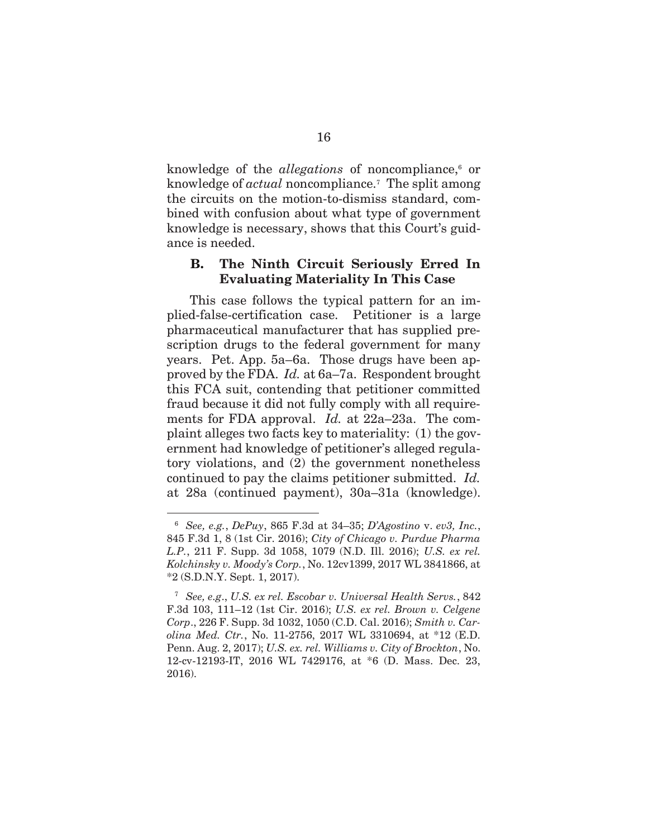knowledge of the *allegations* of noncompliance,<sup>6</sup> or knowledge of *actual* noncompliance.7 The split among the circuits on the motion-to-dismiss standard, combined with confusion about what type of government knowledge is necessary, shows that this Court's guidance is needed.

### **B. The Ninth Circuit Seriously Erred In Evaluating Materiality In This Case**

This case follows the typical pattern for an implied-false-certification case. Petitioner is a large pharmaceutical manufacturer that has supplied prescription drugs to the federal government for many years. Pet. App. 5a–6a. Those drugs have been approved by the FDA. *Id.* at 6a–7a. Respondent brought this FCA suit, contending that petitioner committed fraud because it did not fully comply with all requirements for FDA approval. *Id.* at 22a–23a. The complaint alleges two facts key to materiality: (1) the government had knowledge of petitioner's alleged regulatory violations, and (2) the government nonetheless continued to pay the claims petitioner submitted. *Id.* at 28a (continued payment), 30a–31a (knowledge).

l

<sup>6</sup> *See, e.g.*, *DePuy*, 865 F.3d at 34–35; *D'Agostino* v. *ev3, Inc.*, 845 F.3d 1, 8 (1st Cir. 2016); *City of Chicago v. Purdue Pharma L.P.*, 211 F. Supp. 3d 1058, 1079 (N.D. Ill. 2016); *U.S. ex rel. Kolchinsky v. Moody's Corp.*, No. 12cv1399, 2017 WL 3841866, at \*2 (S.D.N.Y. Sept. 1, 2017).

<sup>7</sup> *See, e.g*., *U.S. ex rel. Escobar v. Universal Health Servs.*, 842 F.3d 103, 111–12 (1st Cir. 2016); *U.S. ex rel. Brown v. Celgene Corp*., 226 F. Supp. 3d 1032, 1050 (C.D. Cal. 2016); *Smith v. Carolina Med. Ctr.*, No. 11-2756, 2017 WL 3310694, at \*12 (E.D. Penn. Aug. 2, 2017); *U.S. ex. rel. Williams v. City of Brockton*, No. 12-cv-12193-IT, 2016 WL 7429176, at \*6 (D. Mass. Dec. 23, 2016).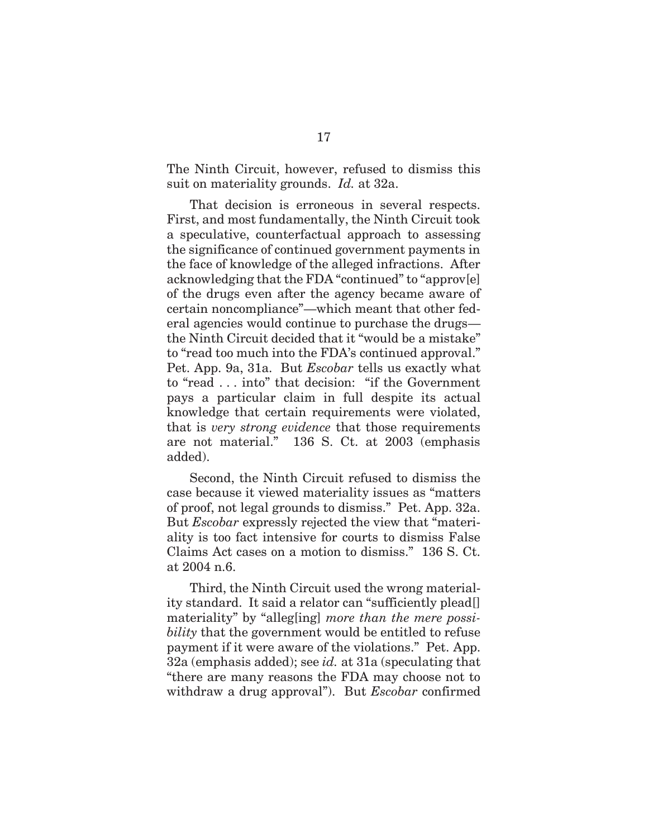The Ninth Circuit, however, refused to dismiss this suit on materiality grounds. *Id.* at 32a.

That decision is erroneous in several respects. First, and most fundamentally, the Ninth Circuit took a speculative, counterfactual approach to assessing the significance of continued government payments in the face of knowledge of the alleged infractions. After acknowledging that the FDA "continued" to "approv[e] of the drugs even after the agency became aware of certain noncompliance"—which meant that other federal agencies would continue to purchase the drugs the Ninth Circuit decided that it "would be a mistake" to "read too much into the FDA's continued approval." Pet. App. 9a, 31a. But *Escobar* tells us exactly what to "read . . . into" that decision: "if the Government pays a particular claim in full despite its actual knowledge that certain requirements were violated, that is *very strong evidence* that those requirements are not material." 136 S. Ct. at 2003 (emphasis added).

Second, the Ninth Circuit refused to dismiss the case because it viewed materiality issues as "matters of proof, not legal grounds to dismiss." Pet. App. 32a. But *Escobar* expressly rejected the view that "materiality is too fact intensive for courts to dismiss False Claims Act cases on a motion to dismiss." 136 S. Ct. at 2004 n.6.

Third, the Ninth Circuit used the wrong materiality standard. It said a relator can "sufficiently plead[] materiality" by "alleg[ing] *more than the mere possibility* that the government would be entitled to refuse payment if it were aware of the violations." Pet. App. 32a (emphasis added); see *id.* at 31a (speculating that "there are many reasons the FDA may choose not to withdraw a drug approval"). But *Escobar* confirmed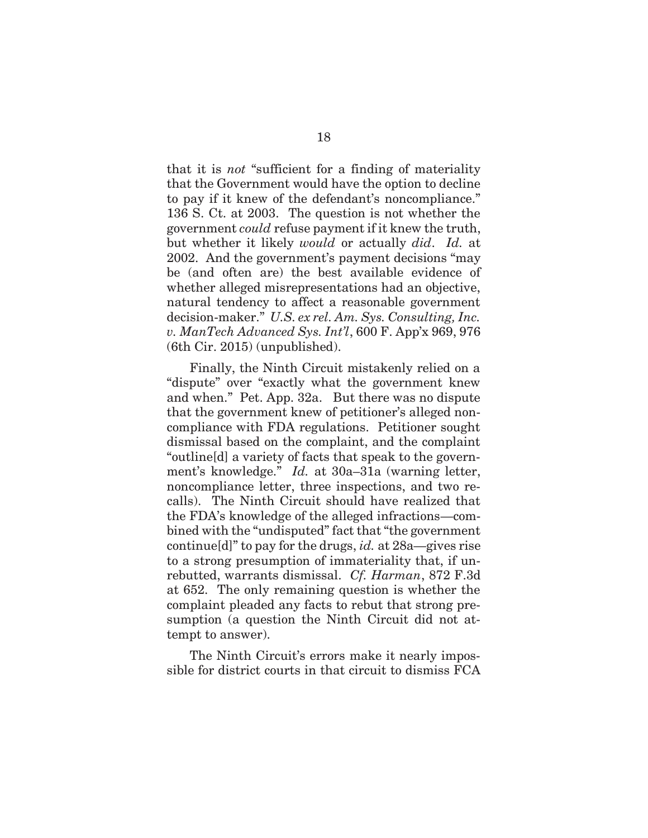that it is *not* "sufficient for a finding of materiality that the Government would have the option to decline to pay if it knew of the defendant's noncompliance." 136 S. Ct. at 2003. The question is not whether the government *could* refuse payment if it knew the truth, but whether it likely *would* or actually *did*. *Id.* at 2002. And the government's payment decisions "may be (and often are) the best available evidence of whether alleged misrepresentations had an objective, natural tendency to affect a reasonable government decision-maker." *U.S. ex rel. Am. Sys. Consulting, Inc. v. ManTech Advanced Sys. Int'l*, 600 F. App'x 969, 976 (6th Cir. 2015) (unpublished).

Finally, the Ninth Circuit mistakenly relied on a "dispute" over "exactly what the government knew and when." Pet. App. 32a. But there was no dispute that the government knew of petitioner's alleged noncompliance with FDA regulations. Petitioner sought dismissal based on the complaint, and the complaint "outline[d] a variety of facts that speak to the government's knowledge." *Id.* at 30a–31a (warning letter, noncompliance letter, three inspections, and two recalls). The Ninth Circuit should have realized that the FDA's knowledge of the alleged infractions—combined with the "undisputed" fact that "the government continue[d]" to pay for the drugs, *id.* at 28a—gives rise to a strong presumption of immateriality that, if unrebutted, warrants dismissal. *Cf. Harman*, 872 F.3d at 652. The only remaining question is whether the complaint pleaded any facts to rebut that strong presumption (a question the Ninth Circuit did not attempt to answer).

The Ninth Circuit's errors make it nearly impossible for district courts in that circuit to dismiss FCA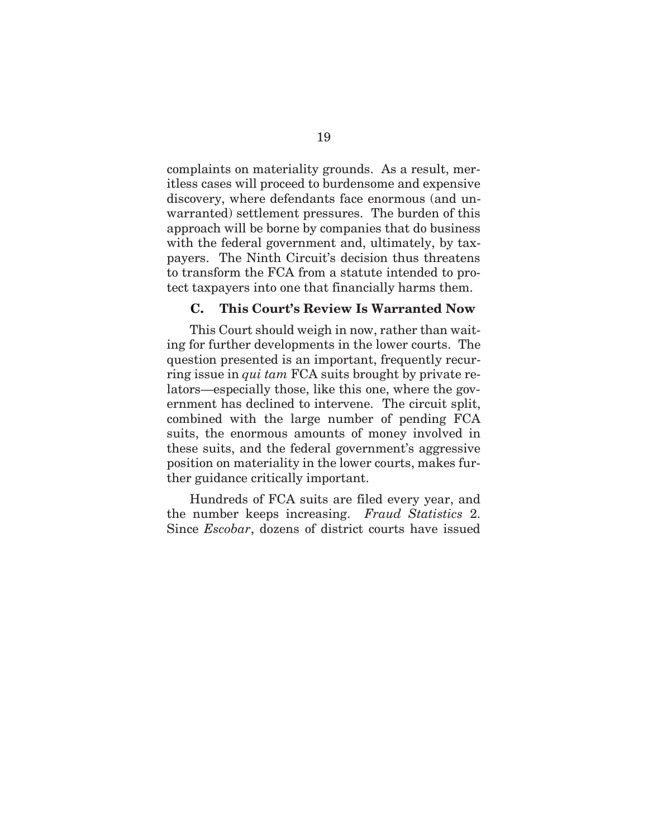complaints on materiality grounds. As a result, meritless cases will proceed to burdensome and expensive discovery, where defendants face enormous (and unwarranted) settlement pressures. The burden of this approach will be borne by companies that do business with the federal government and, ultimately, by taxpayers. The Ninth Circuit's decision thus threatens to transform the FCA from a statute intended to protect taxpayers into one that financially harms them.

### **C. This Court's Review Is Warranted Now**

This Court should weigh in now, rather than waiting for further developments in the lower courts. The question presented is an important, frequently recurring issue in *qui tam* FCA suits brought by private relators—especially those, like this one, where the government has declined to intervene. The circuit split, combined with the large number of pending FCA suits, the enormous amounts of money involved in these suits, and the federal government's aggressive position on materiality in the lower courts, makes further guidance critically important.

Hundreds of FCA suits are filed every year, and the number keeps increasing. *Fraud Statistics* 2. Since *Escobar*, dozens of district courts have issued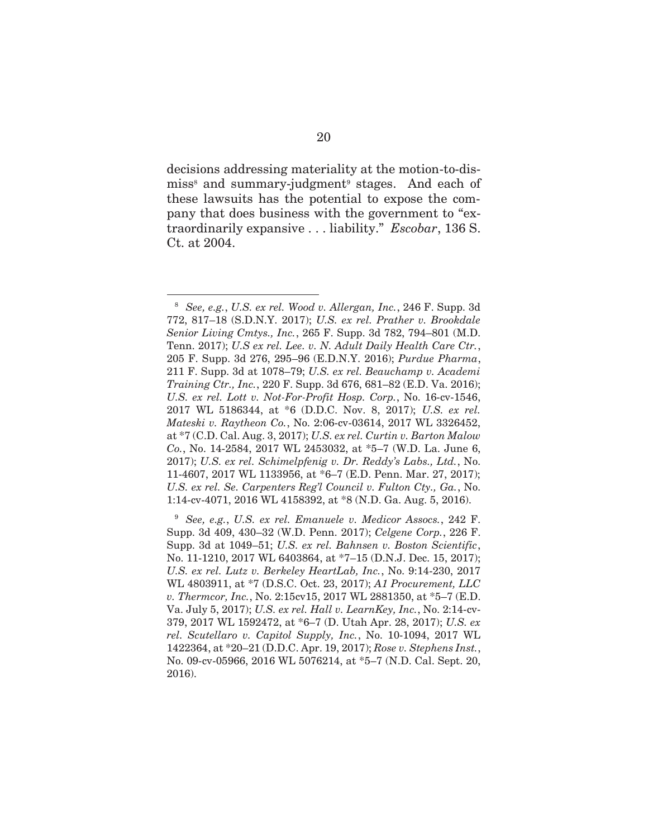decisions addressing materiality at the motion-to-dismiss<sup>8</sup> and summary-judgment<sup>9</sup> stages. And each of these lawsuits has the potential to expose the company that does business with the government to "extraordinarily expansive . . . liability." *Escobar*, 136 S. Ct. at 2004.

l

<sup>8</sup> *See, e.g.*, *U.S. ex rel. Wood v. Allergan, Inc.*, 246 F. Supp. 3d 772, 817–18 (S.D.N.Y. 2017); *U.S. ex rel. Prather v. Brookdale Senior Living Cmtys., Inc.*, 265 F. Supp. 3d 782, 794–801 (M.D. Tenn. 2017); *U.S ex rel. Lee. v. N. Adult Daily Health Care Ctr.*, 205 F. Supp. 3d 276, 295–96 (E.D.N.Y. 2016); *Purdue Pharma*, 211 F. Supp. 3d at 1078–79; *U.S. ex rel. Beauchamp v. Academi Training Ctr., Inc.*, 220 F. Supp. 3d 676, 681–82 (E.D. Va. 2016); *U.S. ex rel. Lott v. Not-For-Profit Hosp. Corp.*, No. 16-cv-1546, 2017 WL 5186344, at \*6 (D.D.C. Nov. 8, 2017); *U.S. ex rel. Mateski v. Raytheon Co.*, No. 2:06-cv-03614, 2017 WL 3326452, at \*7 (C.D. Cal. Aug. 3, 2017); *U.S. ex rel. Curtin v. Barton Malow Co.*, No. 14-2584, 2017 WL 2453032, at \*5–7 (W.D. La. June 6, 2017); *U.S. ex rel. Schimelpfenig v. Dr. Reddy's Labs., Ltd.*, No. 11-4607, 2017 WL 1133956, at \*6–7 (E.D. Penn. Mar. 27, 2017); *U.S. ex rel. Se. Carpenters Reg'l Council v. Fulton Cty., Ga.*, No. 1:14-cv-4071, 2016 WL 4158392, at \*8 (N.D. Ga. Aug. 5, 2016).

<sup>9</sup> *See, e.g.*, *U.S. ex rel. Emanuele v. Medicor Assocs.*, 242 F. Supp. 3d 409, 430–32 (W.D. Penn. 2017); *Celgene Corp.*, 226 F. Supp. 3d at 1049–51; *U.S. ex rel. Bahnsen v. Boston Scientific*, No. 11-1210, 2017 WL 6403864, at \*7–15 (D.N.J. Dec. 15, 2017); *U.S. ex rel. Lutz v. Berkeley HeartLab, Inc.*, No. 9:14-230, 2017 WL 4803911, at \*7 (D.S.C. Oct. 23, 2017); *A1 Procurement, LLC v. Thermcor, Inc.*, No. 2:15cv15, 2017 WL 2881350, at \*5–7 (E.D. Va. July 5, 2017); *U.S. ex rel. Hall v. LearnKey, Inc.*, No. 2:14-cv-379, 2017 WL 1592472, at \*6–7 (D. Utah Apr. 28, 2017); *U.S. ex rel. Scutellaro v. Capitol Supply, Inc.*, No. 10-1094, 2017 WL 1422364, at \*20–21 (D.D.C. Apr. 19, 2017); *Rose v. Stephens Inst.*, No. 09-cv-05966, 2016 WL 5076214, at \*5–7 (N.D. Cal. Sept. 20, 2016).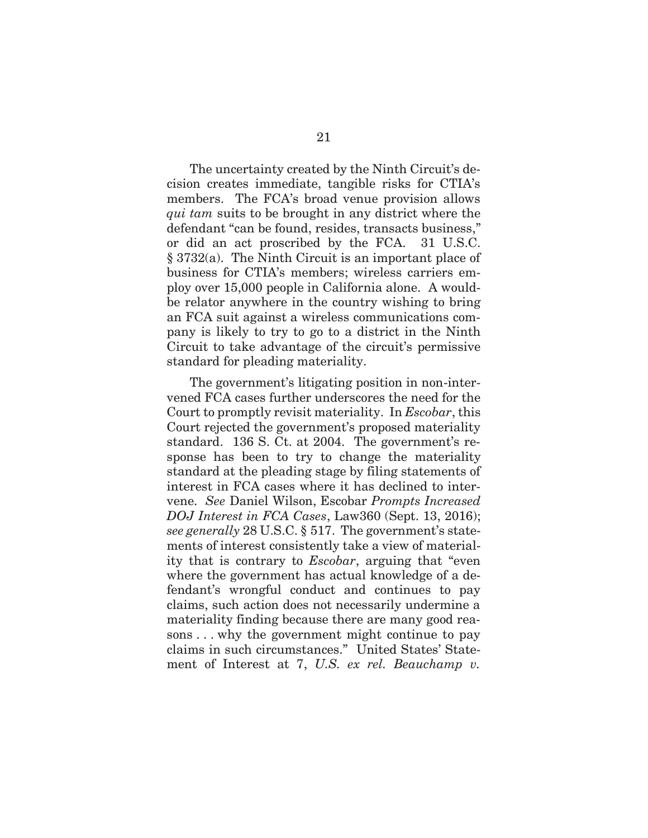The uncertainty created by the Ninth Circuit's decision creates immediate, tangible risks for CTIA's members. The FCA's broad venue provision allows *qui tam* suits to be brought in any district where the defendant "can be found, resides, transacts business," or did an act proscribed by the FCA. 31 U.S.C. § 3732(a). The Ninth Circuit is an important place of business for CTIA's members; wireless carriers employ over 15,000 people in California alone. A wouldbe relator anywhere in the country wishing to bring an FCA suit against a wireless communications company is likely to try to go to a district in the Ninth Circuit to take advantage of the circuit's permissive standard for pleading materiality.

The government's litigating position in non-intervened FCA cases further underscores the need for the Court to promptly revisit materiality. In *Escobar*, this Court rejected the government's proposed materiality standard. 136 S. Ct. at 2004. The government's response has been to try to change the materiality standard at the pleading stage by filing statements of interest in FCA cases where it has declined to intervene. *See* Daniel Wilson, Escobar *Prompts Increased DOJ Interest in FCA Cases*, Law360 (Sept. 13, 2016); *see generally* 28 U.S.C. § 517. The government's statements of interest consistently take a view of materiality that is contrary to *Escobar*, arguing that "even where the government has actual knowledge of a defendant's wrongful conduct and continues to pay claims, such action does not necessarily undermine a materiality finding because there are many good reasons . . . why the government might continue to pay claims in such circumstances." United States' Statement of Interest at 7, *U.S. ex rel. Beauchamp v.*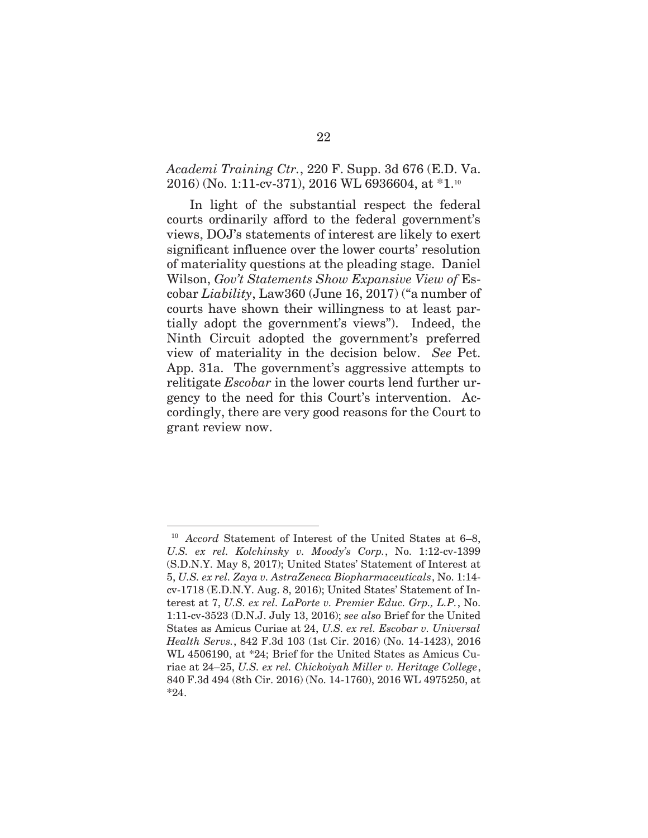### *Academi Training Ctr.*, 220 F. Supp. 3d 676 (E.D. Va. 2016) (No. 1:11-cv-371), 2016 WL 6936604, at \*1.10

In light of the substantial respect the federal courts ordinarily afford to the federal government's views, DOJ's statements of interest are likely to exert significant influence over the lower courts' resolution of materiality questions at the pleading stage. Daniel Wilson, *Gov't Statements Show Expansive View of* Escobar *Liability*, Law360 (June 16, 2017) ("a number of courts have shown their willingness to at least partially adopt the government's views"). Indeed, the Ninth Circuit adopted the government's preferred view of materiality in the decision below. *See* Pet. App. 31a. The government's aggressive attempts to relitigate *Escobar* in the lower courts lend further urgency to the need for this Court's intervention. Accordingly, there are very good reasons for the Court to grant review now.

l

<sup>10</sup> *Accord* Statement of Interest of the United States at 6–8, *U.S. ex rel. Kolchinsky v. Moody's Corp.*, No. 1:12-cv-1399 (S.D.N.Y. May 8, 2017); United States' Statement of Interest at 5, *U.S. ex rel. Zaya v. AstraZeneca Biopharmaceuticals*, No. 1:14 cv-1718 (E.D.N.Y. Aug. 8, 2016); United States' Statement of Interest at 7, *U.S. ex rel. LaPorte v. Premier Educ. Grp., L.P.*, No. 1:11-cv-3523 (D.N.J. July 13, 2016); *see also* Brief for the United States as Amicus Curiae at 24, *U.S. ex rel. Escobar v. Universal Health Servs.*, 842 F.3d 103 (1st Cir. 2016) (No. 14-1423), 2016 WL 4506190, at \*24; Brief for the United States as Amicus Curiae at 24–25, *U.S. ex rel. Chickoiyah Miller v. Heritage College*, 840 F.3d 494 (8th Cir. 2016) (No. 14-1760), 2016 WL 4975250, at \*24.